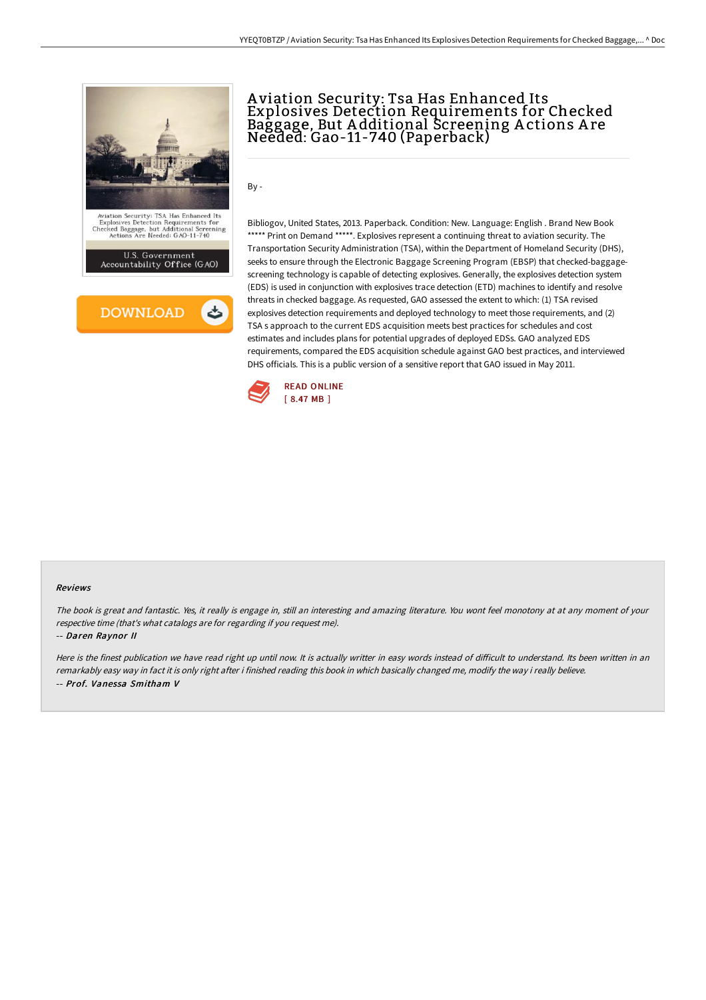



# A viation Security: Tsa Has Enhanced Its Explosives Detection Requirements for Checked Baggage, But A dditional Screening A ctions A re Needed: Gao-11-740 (Paperback)

By -

Bibliogov, United States, 2013. Paperback. Condition: New. Language: English . Brand New Book \*\*\*\*\* Print on Demand \*\*\*\*\*. Explosives represent a continuing threat to aviation security. The Transportation Security Administration (TSA), within the Department of Homeland Security (DHS), seeks to ensure through the Electronic Baggage Screening Program (EBSP) that checked-baggagescreening technology is capable of detecting explosives. Generally, the explosives detection system (EDS) is used in conjunction with explosives trace detection (ETD) machines to identify and resolve threats in checked baggage. As requested, GAO assessed the extent to which: (1) TSA revised explosives detection requirements and deployed technology to meet those requirements, and (2) TSA s approach to the current EDS acquisition meets best practices for schedules and cost estimates and includes plans for potential upgrades of deployed EDSs. GAO analyzed EDS requirements, compared the EDS acquisition schedule against GAO best practices, and interviewed DHS officials. This is a public version of a sensitive report that GAO issued in May 2011.



#### Reviews

The book is great and fantastic. Yes, it really is engage in, still an interesting and amazing literature. You wont feel monotony at at any moment of your respective time (that's what catalogs are for regarding if you request me).

#### -- Daren Raynor II

Here is the finest publication we have read right up until now. It is actually writter in easy words instead of difficult to understand. Its been written in an remarkably easy way in fact it is only right after i finished reading this book in which basically changed me, modify the way i really believe. -- Prof. Vanessa Smitham V